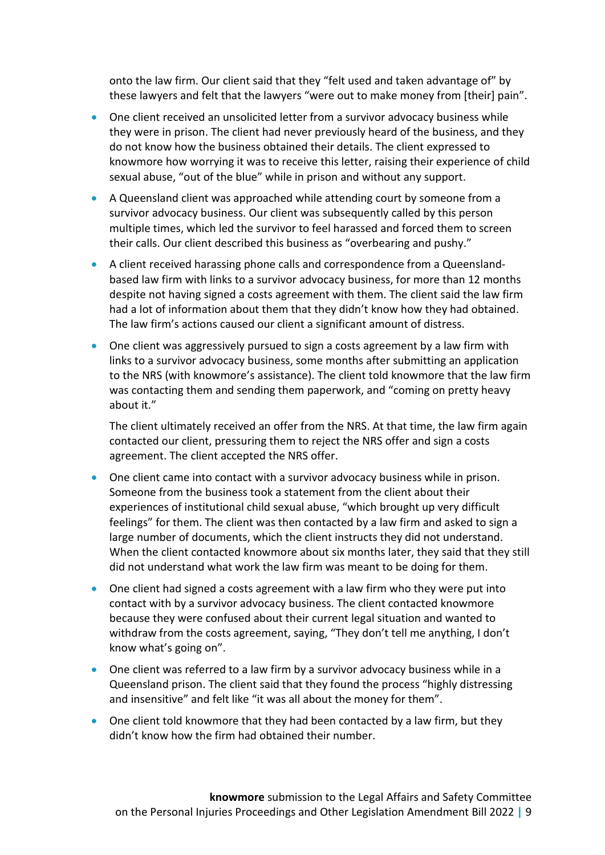onto the law firm. Our client said that they "felt used and taken advantage of" by these lawyers and felt that the lawyers "were out to make money from [their] pain".

- One client received an unsolicited letter from a survivor advocacy business while they were in prison. The client had never previously heard of the business, and they do not know how the business obtained their details. The client expressed to knowmore how worrying it was to receive this letter, raising their experience of child sexual abuse, "out of the blue" while in prison and without any support.
- A Queensland client was approached while attending court by someone from a survivor advocacy business. Our client was subsequently called by this person multiple times, which led the survivor to feel harassed and forced them to screen their calls. Our client described this business as "overbearing and pushy."
- A client received harassing phone calls and correspondence from a Queenslandbased law firm with links to a survivor advocacy business, for more than 12 months despite not having signed a costs agreement with them. The client said the law firm had a lot of information about them that they didn't know how they had obtained. The law firm's actions caused our client a significant amount of distress.
- One client was aggressively pursued to sign a costs agreement by a law firm with links to a survivor advocacy business, some months after submitting an application to the NRS (with knowmore's assistance). The client told knowmore that the law firm was contacting them and sending them paperwork, and "coming on pretty heavy about it."

The client ultimately received an offer from the NRS. At that time, the law firm again contacted our client, pressuring them to reject the NRS offer and sign a costs agreement. The client accepted the NRS offer.

- One client came into contact with a survivor advocacy business while in prison. Someone from the business took a statement from the client about their experiences of institutional child sexual abuse, "which brought up very difficult feelings" for them. The client was then contacted by a law firm and asked to sign a large number of documents, which the client instructs they did not understand. When the client contacted knowmore about six months later, they said that they still did not understand what work the law firm was meant to be doing for them.
- One client had signed a costs agreement with a law firm who they were put into contact with by a survivor advocacy business. The client contacted knowmore because they were confused about their current legal situation and wanted to withdraw from the costs agreement, saying, "They don't tell me anything, I don't know what's going on".
- One client was referred to a law firm by a survivor advocacy business while in a Queensland prison. The client said that they found the process "highly distressing and insensitive" and felt like "it was all about the money for them".
- One client told knowmore that they had been contacted by a law firm, but they didn't know how the firm had obtained their number.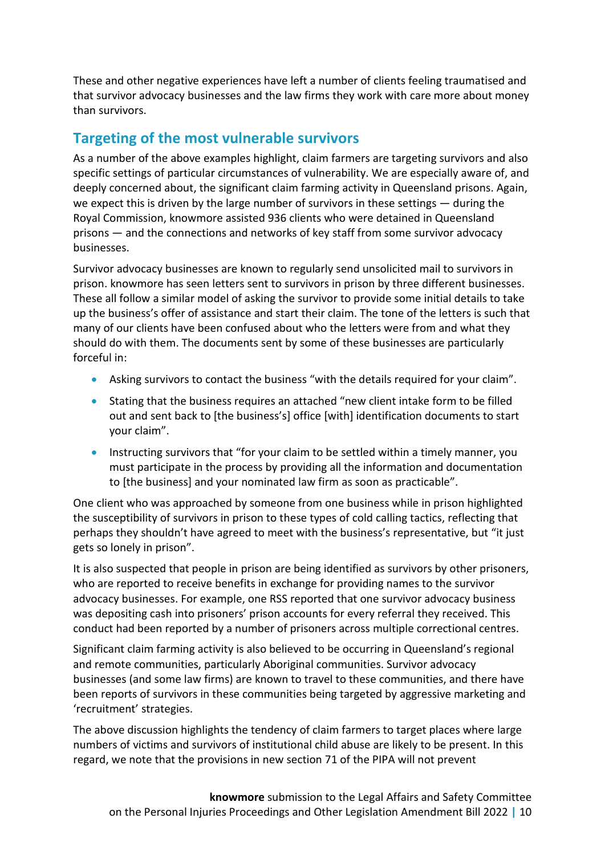These and other negative experiences have left a number of clients feeling traumatised and that survivor advocacy businesses and the law firms they work with care more about money than survivors.

## **Targeting of the most vulnerable survivors**

As a number of the above examples highlight, claim farmers are targeting survivors and also specific settings of particular circumstances of vulnerability. We are especially aware of, and deeply concerned about, the significant claim farming activity in Queensland prisons. Again, we expect this is driven by the large number of survivors in these settings — during the Royal Commission, knowmore assisted 936 clients who were detained in Queensland prisons — and the connections and networks of key staff from some survivor advocacy businesses.

Survivor advocacy businesses are known to regularly send unsolicited mail to survivors in prison. knowmore has seen letters sent to survivors in prison by three different businesses. These all follow a similar model of asking the survivor to provide some initial details to take up the business's offer of assistance and start their claim. The tone of the letters is such that many of our clients have been confused about who the letters were from and what they should do with them. The documents sent by some of these businesses are particularly forceful in:

- Asking survivors to contact the business "with the details required for your claim".
- Stating that the business requires an attached "new client intake form to be filled out and sent back to [the business's] office [with] identification documents to start your claim".
- Instructing survivors that "for your claim to be settled within a timely manner, you must participate in the process by providing all the information and documentation to [the business] and your nominated law firm as soon as practicable".

One client who was approached by someone from one business while in prison highlighted the susceptibility of survivors in prison to these types of cold calling tactics, reflecting that perhaps they shouldn't have agreed to meet with the business's representative, but "it just gets so lonely in prison".

It is also suspected that people in prison are being identified as survivors by other prisoners, who are reported to receive benefits in exchange for providing names to the survivor advocacy businesses. For example, one RSS reported that one survivor advocacy business was depositing cash into prisoners' prison accounts for every referral they received. This conduct had been reported by a number of prisoners across multiple correctional centres.

Significant claim farming activity is also believed to be occurring in Queensland's regional and remote communities, particularly Aboriginal communities. Survivor advocacy businesses (and some law firms) are known to travel to these communities, and there have been reports of survivors in these communities being targeted by aggressive marketing and 'recruitment' strategies.

The above discussion highlights the tendency of claim farmers to target places where large numbers of victims and survivors of institutional child abuse are likely to be present. In this regard, we note that the provisions in new section 71 of the PIPA will not prevent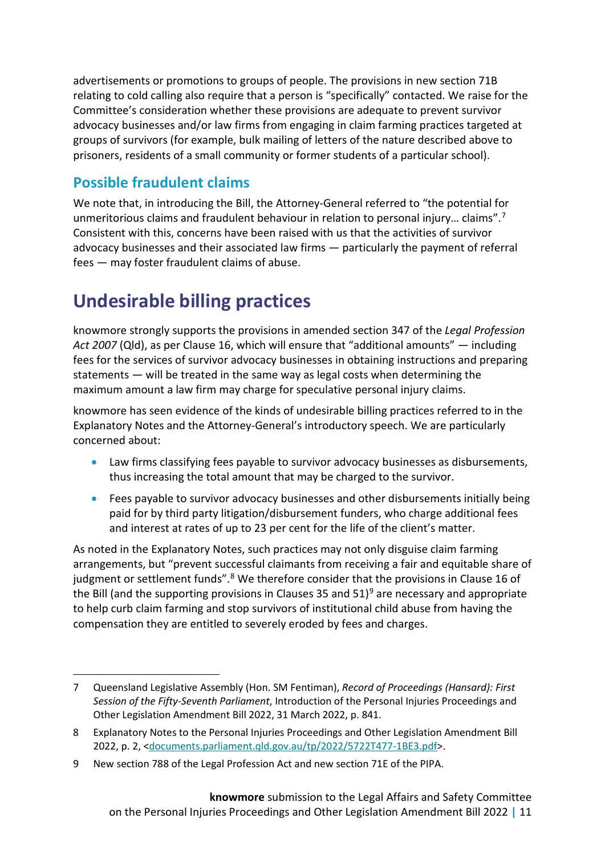advertisements or promotions to groups of people. The provisions in new section 71B relating to cold calling also require that a person is "specifically" contacted. We raise for the Committee's consideration whether these provisions are adequate to prevent survivor advocacy businesses and/or law firms from engaging in claim farming practices targeted at groups of survivors (for example, bulk mailing of letters of the nature described above to prisoners, residents of a small community or former students of a particular school).

## **Possible fraudulent claims**

We note that, in introducing the Bill, the Attorney-General referred to "the potential for unmeritorious claims and fraudulent behaviour in relation to personal injury... claims".<sup>[7](#page-10-0)</sup> Consistent with this, concerns have been raised with us that the activities of survivor advocacy businesses and their associated law firms — particularly the payment of referral fees — may foster fraudulent claims of abuse.

## **Undesirable billing practices**

knowmore strongly supports the provisions in amended section 347 of the *Legal Profession Act 2007* (Qld), as per Clause 16, which will ensure that "additional amounts" — including fees for the services of survivor advocacy businesses in obtaining instructions and preparing statements — will be treated in the same way as legal costs when determining the maximum amount a law firm may charge for speculative personal injury claims.

knowmore has seen evidence of the kinds of undesirable billing practices referred to in the Explanatory Notes and the Attorney-General's introductory speech. We are particularly concerned about:

- Law firms classifying fees payable to survivor advocacy businesses as disbursements, thus increasing the total amount that may be charged to the survivor.
- Fees payable to survivor advocacy businesses and other disbursements initially being paid for by third party litigation/disbursement funders, who charge additional fees and interest at rates of up to 23 per cent for the life of the client's matter.

As noted in the Explanatory Notes, such practices may not only disguise claim farming arrangements, but "prevent successful claimants from receiving a fair and equitable share of judgment or settlement funds".<sup>8</sup> We therefore consider that the provisions in Clause 16 of the Bill (and the supporting provisions in Clauses 35 and  $51<sup>9</sup>$  $51<sup>9</sup>$  $51<sup>9</sup>$  are necessary and appropriate to help curb claim farming and stop survivors of institutional child abuse from having the compensation they are entitled to severely eroded by fees and charges.

<span id="page-10-0"></span><sup>7</sup> Queensland Legislative Assembly (Hon. SM Fentiman), *Record of Proceedings (Hansard): First Session of the Fifty-Seventh Parliament*, Introduction of the Personal Injuries Proceedings and Other Legislation Amendment Bill 2022, 31 March 2022, p. 841.

<span id="page-10-1"></span><sup>8</sup> Explanatory Notes to the Personal Injuries Proceedings and Other Legislation Amendment Bill 2022, p. 2, [<documents.parliament.qld.gov.au/tp/2022/5722T477-1BE3.pdf>](https://documents.parliament.qld.gov.au/tp/2022/5722T477-1BE3.pdf).

<span id="page-10-2"></span><sup>9</sup> New section 788 of the Legal Profession Act and new section 71E of the PIPA.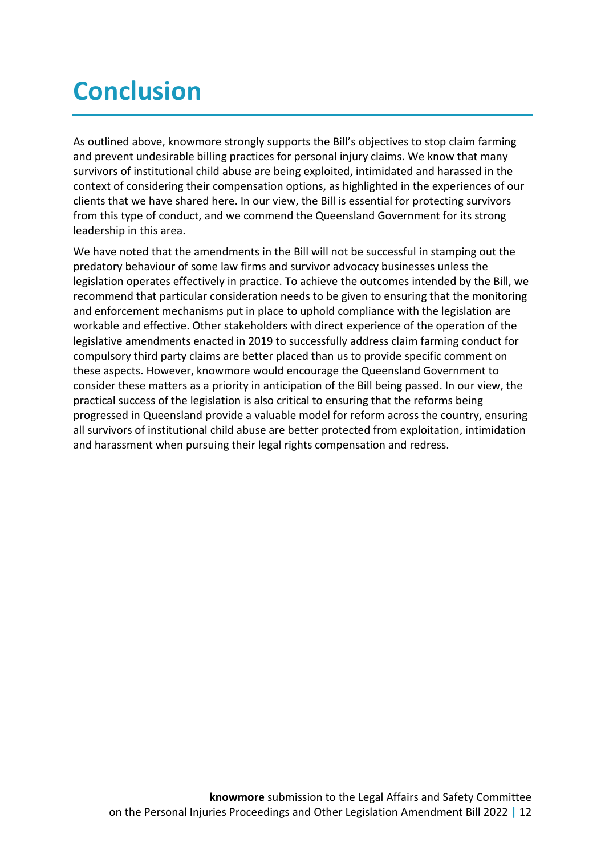## **Conclusion**

As outlined above, knowmore strongly supports the Bill's objectives to stop claim farming and prevent undesirable billing practices for personal injury claims. We know that many survivors of institutional child abuse are being exploited, intimidated and harassed in the context of considering their compensation options, as highlighted in the experiences of our clients that we have shared here. In our view, the Bill is essential for protecting survivors from this type of conduct, and we commend the Queensland Government for its strong leadership in this area.

We have noted that the amendments in the Bill will not be successful in stamping out the predatory behaviour of some law firms and survivor advocacy businesses unless the legislation operates effectively in practice. To achieve the outcomes intended by the Bill, we recommend that particular consideration needs to be given to ensuring that the monitoring and enforcement mechanisms put in place to uphold compliance with the legislation are workable and effective. Other stakeholders with direct experience of the operation of the legislative amendments enacted in 2019 to successfully address claim farming conduct for compulsory third party claims are better placed than us to provide specific comment on these aspects. However, knowmore would encourage the Queensland Government to consider these matters as a priority in anticipation of the Bill being passed. In our view, the practical success of the legislation is also critical to ensuring that the reforms being progressed in Queensland provide a valuable model for reform across the country, ensuring all survivors of institutional child abuse are better protected from exploitation, intimidation and harassment when pursuing their legal rights compensation and redress.